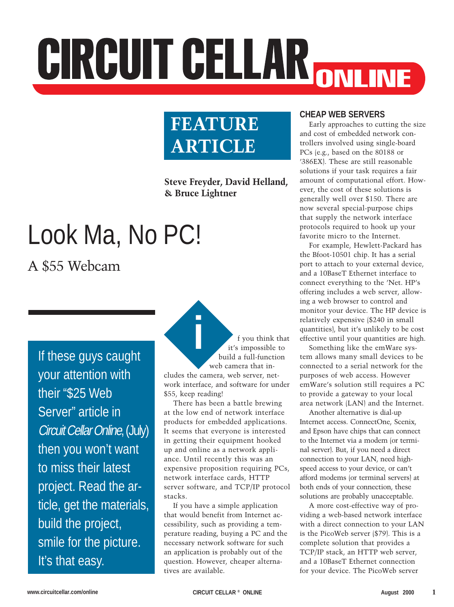# CIRCUIT CELLAR ONLINE

## **FEATURE ARTICLE**

**Steve Freyder, David Helland, & Bruce Lightner**

# Look Ma, No PC!

### A \$55 Webcam

If these guys caught your attention with their "\$25 Web Server" article in Circuit Cellar Online, (July) then you won't want to miss their latest project. Read the article, get the materials, build the project, smile for the picture. It's that easy.

**i** f you think that it's impossible to build a full-function web camera that includes the camera, web server, network interface, and software for under \$55, keep reading!

There has been a battle brewing at the low end of network interface products for embedded applications. It seems that everyone is interested in getting their equipment hooked up and online as a network appliance. Until recently this was an expensive proposition requiring PCs, network interface cards, HTTP server software, and TCP/IP protocol stacks.

If you have a simple application that would benefit from Internet accessibility, such as providing a temperature reading, buying a PC and the necessary network software for such an application is probably out of the question. However, cheaper alternatives are available.

#### **CHEAP WEB SERVERS**

Early approaches to cutting the size and cost of embedded network controllers involved using single-board PCs (e.g., based on the 80188 or '386EX). These are still reasonable solutions if your task requires a fair amount of computational effort. However, the cost of these solutions is generally well over \$150. There are now several special-purpose chips that supply the network interface protocols required to hook up your favorite micro to the Internet.

For example, Hewlett-Packard has the Bfoot-10501 chip. It has a serial port to attach to your external device, and a 10BaseT Ethernet interface to connect everything to the 'Net. HP's offering includes a web server, allowing a web browser to control and monitor your device. The HP device is relatively expensive (\$240 in small quantities), but it's unlikely to be cost effective until your quantities are high.

Something like the emWare system allows many small devices to be connected to a serial network for the purposes of web access. However emWare's solution still requires a PC to provide a gateway to your local area network (LAN) and the Internet.

Another alternative is dial-up Internet access. ConnectOne, Scenix, and Epson have chips that can connect to the Internet via a modem (or terminal server). But, if you need a direct connection to your LAN, need highspeed access to your device, or can't afford modems (or terminal servers) at both ends of your connection, these solutions are probably unacceptable.

A more cost-effective way of providing a web-based network interface with a direct connection to your LAN is the PicoWeb server (\$79). This is a complete solution that provides a TCP/IP stack, an HTTP web server, and a 10BaseT Ethernet connection for your device. The PicoWeb server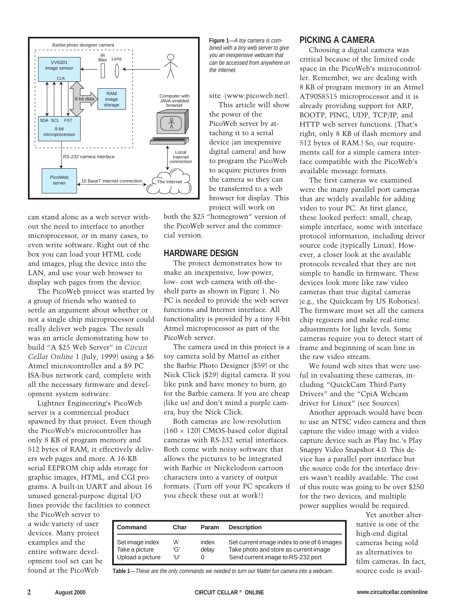

can stand alone as a web server without the need to interface to another microprocessor, or in many cases, to even write software. Right out of the box you can load your HTML code and images, plug the device into the LAN, and use your web browser to display web pages from the device.

The PicoWeb project was started by a group of friends who wanted to settle an argument about whether or not a single chip microprocessor could really deliver web pages. The result was an article demonstrating how to build "A \$25 Web Server" in *Circuit Cellar Online* 1 (July, 1999) using a \$6 Atmel microcontroller and a \$9 PC ISA-bus network card, complete with all the necessary firmware and development system software.

Lightner Engineering's PicoWeb server is a commercial product spawned by that project. Even though the PicoWeb's microcontroller has only 8 KB of program memory and 512 bytes of RAM, it effectively delivers web pages and more. A 16-KB serial EEPROM chip adds storage for graphic images, HTML, and CGI programs. A built-in UART and about 16 unused general-purpose digital I/O lines provide the facilities to connect

the PicoWeb server to a wide variety of user devices. Many project examples and the entire software development tool set can be found at the PicoWeb

**Figure 1**—A toy camera is combined with a tiny web server to give you an inexpensive webcam that can be accessed from anywhere on the Internet.

site (www.picoweb.net).

This article will show the power of the PicoWeb server by attaching it to a serial device (an inexpensive digital camera) and how to program the PicoWeb to acquire pictures from the camera so they can be transferred to a web browser for display. This project will work on

both the \$25 "homegrown" version of the PicoWeb server and the commercial version.

#### **HARDWARE DESIGN**

The project demonstrates how to make an inexpensive, low-power, low- cost web camera with off-theshelf parts as shown in Figure 1. No PC is needed to provide the web server functions and Internet interface. All functionality is provided by a tiny 8-bit Atmel microprocessor as part of the PicoWeb server.

The camera used in this project is a toy camera sold by Mattel as either the Barbie Photo Designer (\$59) or the Nick Click (\$29) digital camera. If you like pink and have money to burn, go for the Barbie camera. If you are cheap (like us) and don't mind a purple camera, buy the Nick Click.

Both cameras are low-resolution  $(160 \times 120)$  CMOS-based color digital cameras with RS-232 serial interfaces. Both come with noisy software that allows the pictures to be integrated with Barbie or Nickelodeon cartoon characters into a variety of output formats. (Turn off your PC speakers if you check these out at work!)

#### **PICKING A CAMERA**

Choosing a digital camera was critical because of the limited code space in the PicoWeb's microcontroller. Remember, we are dealing with 8 KB of program memory in an Atmel AT90S8515 microprocessor and it is already providing support for ARP, BOOTP, PING, UDP, TCP/IP, and HTTP web server functions. (That's right, only 8 KB of flash memory and 512 bytes of RAM.) So, our requirements call for a simple camera interface compatible with the PicoWeb's available message formats.

The first cameras we examined were the many parallel port cameras that are widely available for adding video to your PC. At first glance, these looked perfect: small, cheap, simple interface, some with interface protocol information, including driver source code (typically Linux). However, a closer look at the available protocols revealed that they are not simple to handle in firmware. These devices look more like raw video cameras than true digital cameras (e.g., the Quickcam by US Robotics). The firmware must set all the camera chip registers and make real-time adjustments for light levels. Some cameras require you to detect start of frame and beginning of scan line in the raw video stream.

We found web sites that were useful in evaluating these cameras, including "QuickCam Third-Party Drivers" and the "CpiA Webcam driver for Linux" (see Sources).

Another approach would have been to use an NTSC video camera and then capture the video image with a video capture device such as Play Inc.'s Play Snappy Video Snapshot 4.0. This device has a parallel port interface but the source code for the interface drivers wasn't readily available. The cost of this route was going to be over \$250 for the two devices, and multiple power supplies would be required.

> Yet another alternative is one of the high-end digital cameras being sold as alternatives to film cameras. In fact, source code is avail-

| Command                                               | Char                | Param          | <b>Description</b>                                                                                                       |
|-------------------------------------------------------|---------------------|----------------|--------------------------------------------------------------------------------------------------------------------------|
| Set image index<br>Take a picture<br>Upload a picture | ʻA'<br>'G'<br>ʻl l' | index<br>delay | Set current image index to one of 6 images<br>Take photo and store as current image<br>Send current image to RS-232 port |

**Table 1**—These are the only commands we needed to turn our Mattel fun camera into a webcam.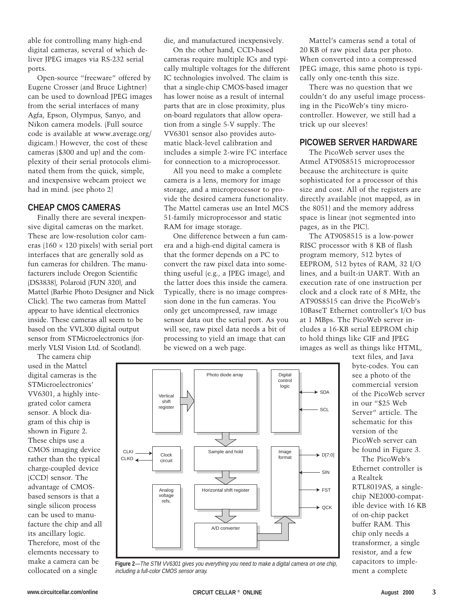able for controlling many high-end digital cameras, several of which deliver JPEG images via RS-232 serial ports.

Open-source "freeware" offered by Eugene Crosser (and Bruce Lightner) can be used to download JPEG images from the serial interfaces of many Agfa, Epson, Olympus, Sanyo, and Nikon camera models. (Full source code is available at www.average.org/ digicam.) However, the cost of these cameras (\$300 and up) and the complexity of their serial protocols eliminated them from the quick, simple, and inexpensive webcam project we had in mind. (see photo 2)

#### **CHEAP CMOS CAMERAS**

Finally there are several inexpensive digital cameras on the market. These are low-resolution color cameras (160  $\times$  120 pixels) with serial port interfaces that are generally sold as fun cameras for children. The manufacturers include Oregon Scientific (DS3838), Polaroid (FUN 320), and Mattel (Barbie Photo Designer and Nick Click). The two cameras from Mattel appear to have identical electronics inside. These cameras all seem to be based on the VVL300 digital output sensor from STMicroelectronics (formerly VLSI Vision Ltd. of Scotland).

The camera chip used in the Mattel digital cameras is the STMicroelectronics' VV6301, a highly integrated color camera sensor. A block diagram of this chip is shown in Figure 2. These chips use a CMOS imaging device rather than the typical charge-coupled device (CCD) sensor. The advantage of CMOSbased sensors is that a single silicon process can be used to manufacture the chip and all its ancillary logic. Therefore, most of the elements necessary to make a camera can be collocated on a single

die, and manufactured inexpensively.

On the other hand, CCD-based cameras require multiple ICs and typically multiple voltages for the different IC technologies involved. The claim is that a single-chip CMOS-based imager has lower noise as a result of internal parts that are in close proximity, plus on-board regulators that allow operation from a single 5-V supply. The VV6301 sensor also provides automatic black-level calibration and includes a simple 2-wire I2 C interface for connection to a microprocessor.

All you need to make a complete camera is a lens, memory for image storage, and a microprocessor to provide the desired camera functionality. The Mattel cameras use an Intel MCS 51-family microprocessor and static RAM for image storage.

One difference between a fun camera and a high-end digital camera is that the former depends on a PC to convert the raw pixel data into something useful (e.g., a JPEG image), and the latter does this inside the camera. Typically, there is no image compression done in the fun cameras. You only get uncompressed, raw image sensor data out the serial port. As you will see, raw pixel data needs a bit of processing to yield an image that can be viewed on a web page.

Mattel's cameras send a total of 20 KB of raw pixel data per photo. When converted into a compressed JPEG image, this same photo is typically only one-tenth this size.

There was no question that we couldn't do any useful image processing in the PicoWeb's tiny microcontroller. However, we still had a trick up our sleeves!

#### **PICOWEB SERVER HARDWARE**

The PicoWeb server uses the Atmel AT90S8515 microprocessor because the architecture is quite sophisticated for a processor of this size and cost. All of the registers are directly available (not mapped, as in the 8051) and the memory address space is linear (not segmented into pages, as in the PIC).

The AT90S8515 is a low-power RISC processor with 8 KB of flash program memory, 512 bytes of EEPROM, 512 bytes of RAM, 32 I/O lines, and a built-in UART. With an execution rate of one instruction per clock and a clock rate of 8 MHz, the AT90S8515 can drive the PicoWeb's 10BaseT Ethernet controller's I/O bus at 1 MBps. The PicoWeb server includes a 16-KB serial EEPROM chip to hold things like GIF and JPEG images as well as things like HTML,



**Figure 2**—The STM VV6301 gives you everything you need to make a digital camera on one chip, including a full-color CMOS sensor array.

text files, and Java byte-codes. You can see a photo of the commercial version of the PicoWeb server in our "\$25 Web Server" article. The schematic for this version of the PicoWeb server can be found in Figure 3. The PicoWeb's

Ethernet controller is a Realtek RTL8019AS, a singlechip NE2000-compatible device with 16 KB of on-chip packet buffer RAM. This chip only needs a transformer, a single resistor, and a few capacitors to implement a complete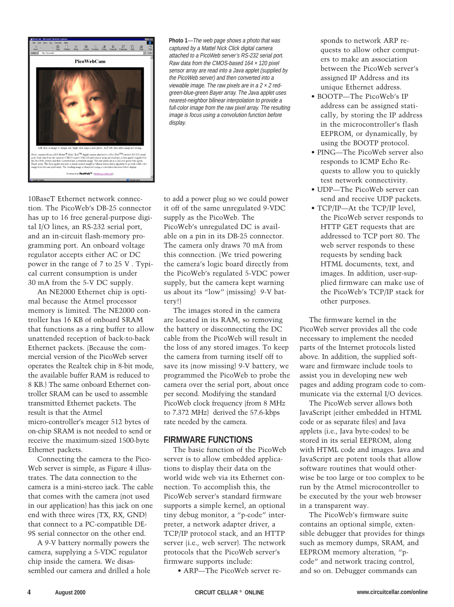

**Photo 1**—The web page shows a photo that was captured by a Mattel Nick Click digital camera attached to a PicoWeb server's RS-232 serial port. Raw data from the CMOS-based 164 × 120 pixel sensor array are read into a Java applet (supplied by the PicoWeb server) and then converted into a viewable image. The raw pixels are in a  $2 \times 2$  redgreen-blue-green Bayer array. The Java applet uses nearest-neighbor bilinear interpolation to provide a full-color image from the raw pixel array. The resulting image is focus using a convolution function before display.

10BaseT Ethernet network connection. The PicoWeb's DB-25 connector has up to 16 free general-purpose digital I/O lines, an RS-232 serial port, and an in-circuit flash-memory programming port. An onboard voltage regulator accepts either AC or DC power in the range of 7 to 25 V . Typical current consumption is under 30 mA from the 5-V DC supply.

An NE2000 Ethernet chip is optimal because the Atmel processor memory is limited. The NE2000 controller has 16 KB of onboard SRAM that functions as a ring buffer to allow unattended reception of back-to-back Ethernet packets. (Because the commercial version of the PicoWeb server operates the Realtek chip in 8-bit mode, the available buffer RAM is reduced to 8 KB.) The same onboard Ethernet controller SRAM can be used to assemble transmitted Ethernet packets. The result is that the Atmel micro-controller's meager 512 bytes of on-chip SRAM is not needed to send or receive the maximum-sized 1500-byte Ethernet packets.

Connecting the camera to the Pico-Web server is simple, as Figure 4 illustrates. The data connection to the camera is a mini-stereo jack. The cable that comes with the camera (not used in our application) has this jack on one end with three wires (TX, RX, GND) that connect to a PC-compatible DE-9S serial connector on the other end.

A 9-V battery normally powers the camera, supplying a 5-VDC regulator chip inside the camera. We disassembled our camera and drilled a hole to add a power plug so we could power it off of the same unregulated 9-VDC supply as the PicoWeb. The PicoWeb's unregulated DC is available on a pin in its DB-25 connector. The camera only draws 70 mA from this connection. (We tried powering the camera's logic board directly from the PicoWeb's regulated 5-VDC power supply, but the camera kept warning us about its "low" (missing) 9-V battery!)

The images stored in the camera are located in its RAM, so removing the battery or disconnecting the DC cable from the PicoWeb will result in the loss of any stored images. To keep the camera from turning itself off to save its (now missing) 9-V battery, we programmed the PicoWeb to probe the camera over the serial port, about once per second. Modifying the standard PicoWeb clock frequency (from 8 MHz to 7.372 MHz) derived the 57.6-kbps rate needed by the camera.

#### **FIRMWARE FUNCTIONS**

The basic function of the PicoWeb server is to allow embedded applications to display their data on the world wide web via its Ethernet connection. To accomplish this, the PicoWeb server's standard firmware supports a simple kernel, an optional tiny debug monitor, a "p-code" interpreter, a network adapter driver, a TCP/IP protocol stack, and an HTTP server (i.e., web server). The network protocols that the PicoWeb server's firmware supports include:

• ARP—The PicoWeb server re-

sponds to network ARP requests to allow other computers to make an association between the PicoWeb server's assigned IP Address and its unique Ethernet address.

- BOOTP—The PicoWeb's IP address can be assigned statically, by storing the IP address in the microcontroller's flash EEPROM, or dynamically, by using the BOOTP protocol.
- PING—The PicoWeb server also responds to ICMP Echo Requests to allow you to quickly test network connectivity.
- UDP—The PicoWeb server can send and receive UDP packets.
- TCP/IP—At the TCP/IP level, the PicoWeb server responds to HTTP GET requests that are addressed to TCP port 80. The web server responds to these requests by sending back HTML documents, text, and images. In addition, user-supplied firmware can make use of the PicoWeb's TCP/IP stack for other purposes.

The firmware kernel in the PicoWeb server provides all the code necessary to implement the needed parts of the Internet protocols listed above. In addition, the supplied software and firmware include tools to assist you in developing new web pages and adding program code to communicate via the external I/O devices.

The PicoWeb server allows both JavaScript (either embedded in HTML code or as separate files) and Java applets (i.e., Java byte-codes) to be stored in its serial EEPROM, along with HTML code and images. Java and JavaScript are potent tools that allow software routines that would otherwise be too large or too complex to be run by the Atmel microcontroller to be executed by the your web browser in a transparent way.

The PicoWeb's firmware suite contains an optional simple, extensible debugger that provides for things such as memory dumps, SRAM, and EEPROM memory alteration, "pcode" and network tracing control, and so on. Debugger commands can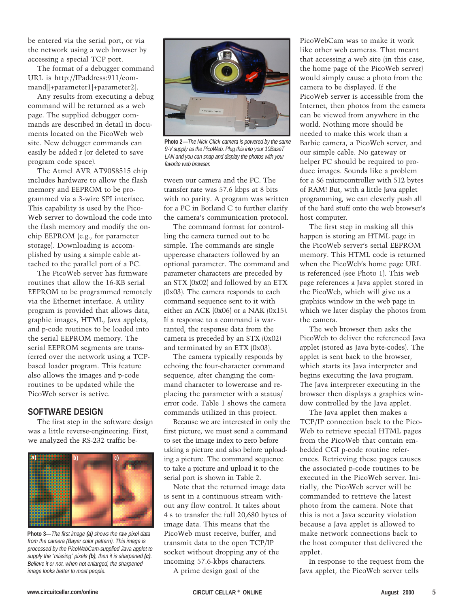be entered via the serial port, or via the network using a web browser by accessing a special TCP port.

The format of a debugger command URL is http://IPaddress:911/command[[+parameter1]+parameter2].

Any results from executing a debug command will be returned as a web page. The supplied debugger commands are described in detail in documents located on the PicoWeb web site. New debugger commands can easily be added r (or deleted to save program code space).

The Atmel AVR AT90S8515 chip includes hardware to allow the flash memory and EEPROM to be programmed via a 3-wire SPI interface. This capability is used by the Pico-Web server to download the code into the flash memory and modify the onchip EEPROM (e.g., for parameter storage). Downloading is accomplished by using a simple cable attached to the parallel port of a PC.

The PicoWeb server has firmware routines that allow the 16-KB serial EEPROM to be programmed remotely via the Ethernet interface. A utility program is provided that allows data, graphic images, HTML, Java applets, and p-code routines to be loaded into the serial EEPROM memory. The serial EEPROM segments are transferred over the network using a TCPbased loader program. This feature also allows the images and p-code routines to be updated while the PicoWeb server is active.

#### **SOFTWARE DESIGN**

The first step in the software design was a little reverse-engineering. First, we analyzed the RS-232 traffic be-



**Photo 3—**The first image **(a)** shows the raw pixel data from the camera (Bayer color pattern). This image is processed by the PicoWebCam-supplied Java applet to supply the "missing" pixels **(b)**, then it is sharpened **(c)**. Believe it or not, when not enlarged, the sharpened image looks better to most people.



**Photo 2**—The Nick Click camera is powered by the same 9-V supply as the PicoWeb. Plug this into your 10BaseT LAN and you can snap and display the photos with your favorite web browser.

tween our camera and the PC. The transfer rate was 57.6 kbps at 8 bits with no parity. A program was written for a PC in Borland C to further clarify the camera's communication protocol.

The command format for controlling the camera turned out to be simple. The commands are single uppercase characters followed by an optional parameter. The command and parameter characters are preceded by an STX (0x02) and followed by an ETX (0x03). The camera responds to each command sequence sent to it with either an ACK (0x06) or a NAK (0x15). If a response to a command is warranted, the response data from the camera is preceded by an STX (0x02) and terminated by an ETX (0x03).

The camera typically responds by echoing the four-character command sequence, after changing the command character to lowercase and replacing the parameter with a status/ error code. Table 1 shows the camera commands utilized in this project.

Because we are interested in only the first picture, we must send a command to set the image index to zero before taking a picture and also before uploading a picture. The command sequence to take a picture and upload it to the serial port is shown in Table 2.

Note that the returned image data is sent in a continuous stream without any flow control. It takes about 4 s to transfer the full 20,680 bytes of image data. This means that the PicoWeb must receive, buffer, and transmit data to the open TCP/IP socket without dropping any of the incoming 57.6-kbps characters.

A prime design goal of the

PicoWebCam was to make it work like other web cameras. That meant that accessing a web site (in this case, the home page of the PicoWeb server) would simply cause a photo from the camera to be displayed. If the PicoWeb server is accessible from the Internet, then photos from the camera can be viewed from anywhere in the world. Nothing more should be needed to make this work than a Barbie camera, a PicoWeb server, and our simple cable. No gateway or helper PC should be required to produce images. Sounds like a problem for a \$6 microcontroller with 512 bytes of RAM! But, with a little Java applet programming, we can cleverly push all of the hard stuff onto the web browser's host computer.

The first step in making all this happen is storing an HTML page in the PicoWeb server's serial EEPROM memory. This HTML code is returned when the PicoWeb's home page URL is referenced (see Photo 1). This web page references a Java applet stored in the PicoWeb, which will give us a graphics window in the web page in which we later display the photos from the camera.

The web browser then asks the PicoWeb to deliver the referenced Java applet (stored as Java byte-codes). The applet is sent back to the browser, which starts its Java interpreter and begins executing the Java program. The Java interpreter executing in the browser then displays a graphics window controlled by the Java applet.

The Java applet then makes a TCP/IP connection back to the Pico-Web to retrieve special HTML pages from the PicoWeb that contain embedded CGI p-code routine references. Retrieving these pages causes the associated p-code routines to be executed in the PicoWeb server. Initially, the PicoWeb server will be commanded to retrieve the latest photo from the camera. Note that this is not a Java security violation because a Java applet is allowed to make network connections back to the host computer that delivered the applet.

In response to the request from the Java applet, the PicoWeb server tells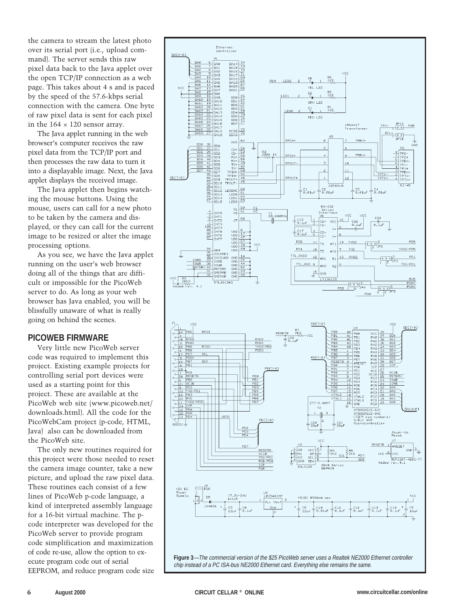the camera to stream the latest photo over its serial port (i.e., upload command). The server sends this raw pixel data back to the Java applet over the open TCP/IP connection as a web page. This takes about 4 s and is paced by the speed of the 57.6-kbps serial connection with the camera. One byte of raw pixel data is sent for each pixel in the  $164 \times 120$  sensor array.

The Java applet running in the web browser's computer receives the raw pixel data from the TCP/IP port and then processes the raw data to turn it into a displayable image. Next, the Java applet displays the received image.

The Java applet then begins watching the mouse buttons. Using the mouse, users can call for a new photo to be taken by the camera and displayed, or they can call for the current image to be resized or alter the image processing options.

As you see, we have the Java applet running on the user's web browser doing all of the things that are difficult or impossible for the PicoWeb server to do. As long as your web browser has Java enabled, you will be blissfully unaware of what is really going on behind the scenes.

#### **PICOWEB FIRMWARE**

Very little new PicoWeb server code was required to implement this project. Existing example projects for controlling serial port devices were used as a starting point for this project. These are available at the PicoWeb web site (www.picoweb.net/ downloads.html). All the code for the PicoWebCam project (p-code, HTML, Java) also can be downloaded from the PicoWeb site.

The only new routines required for this project were those needed to reset the camera image counter, take a new picture, and upload the raw pixel data. These routines each consist of a few lines of PicoWeb p-code language, a kind of interpreted assembly language for a 16-bit virtual machine. The pcode interpreter was developed for the PicoWeb server to provide program code simplification and maximization of code re-use, allow the option to execute program code out of serial EEPROM, and reduce program code size

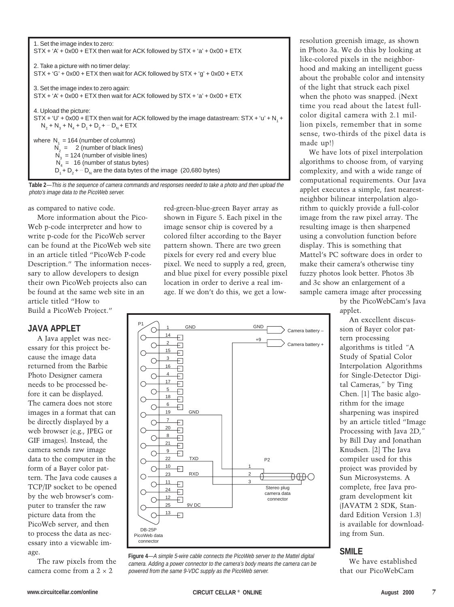| 1. Set the image index to zero:<br>$STX + 'A' + 0x00 + ETX$ then wait for ACK followed by $STX + 'a' + 0x00 + ETX$                                                                                                                              |
|-------------------------------------------------------------------------------------------------------------------------------------------------------------------------------------------------------------------------------------------------|
| 2. Take a picture with no timer delay:<br>$STX + G' + 0x00 + ETX$ then wait for ACK followed by $STX + G' + 0x00 + ETX$                                                                                                                         |
| 3. Set the image index to zero again:<br>$STX + 'A' + 0x00 + ETX$ then wait for ACK followed by $STX + 'a' + 0x00 + ETX$                                                                                                                        |
| 4. Upload the picture:<br>$STX + 'U' + 0x00 + ETX$ then wait for ACK followed by the image datastream: $STX + 'U' + N$ , +<br>$N_2 + N_2 + N_4 + D_3 + D_2 + \cdots D_{N}$ + ETX                                                                |
| where $N1 = 164$ (number of columns)<br>$N_2 = 2$ (number of black lines)<br>$N_a = 124$ (number of visible lines)<br>$N_4 = 16$ (number of status bytes)<br>$D_1 + D_2 + \cdots$ D <sub>N</sub> are the data bytes of the image (20,680 bytes) |

**Table 2**—This is the sequence of camera commands and responses needed to take a photo and then upload the photo's image data to the PicoWeb server.

as compared to native code.

More information about the Pico-Web p-code interpreter and how to write p-code for the PicoWeb server can be found at the PicoWeb web site in an article titled "PicoWeb P-code Description." The information necessary to allow developers to design their own PicoWeb projects also can be found at the same web site in an article titled "How to Build a PicoWeb Project."

#### **JAVA APPLET**

A Java applet was necessary for this project because the image data returned from the Barbie Photo Designer camera needs to be processed before it can be displayed. The camera does not store images in a format that can be directly displayed by a web browser (e.g., JPEG or GIF images). Instead, the camera sends raw image data to the computer in the form of a Bayer color pattern. The Java code causes a TCP/IP socket to be opened by the web browser's computer to transfer the raw picture data from the PicoWeb server, and then to process the data as necessary into a viewable image.

The raw pixels from the camera come from a  $2 \times 2$ 

red-green-blue-green Bayer array as shown in Figure 5. Each pixel in the image sensor chip is covered by a colored filter according to the Bayer pattern shown. There are two green pixels for every red and every blue pixel. We need to supply a red, green, and blue pixel for every possible pixel location in order to derive a real image. If we don't do this, we get a low-



**Figure 4**—A simple 5-wire cable connects the PicoWeb server to the Mattel digital camera. Adding a power connector to the camera's body means the camera can be powered from the same 9-VDC supply as the PicoWeb server.

resolution greenish image, as shown in Photo 3a. We do this by looking at like-colored pixels in the neighborhood and making an intelligent guess about the probable color and intensity of the light that struck each pixel when the photo was snapped. (Next time you read about the latest fullcolor digital camera with 2.1 million pixels, remember that in some sense, two-thirds of the pixel data is made up!)

We have lots of pixel interpolation algorithms to choose from, of varying complexity, and with a wide range of computational requirements. Our Java applet executes a simple, fast nearestneighbor bilinear interpolation algorithm to quickly provide a full-color image from the raw pixel array. The resulting image is then sharpened using a convolution function before display. This is something that Mattel's PC software does in order to make their camera's otherwise tiny fuzzy photos look better. Photos 3b and 3c show an enlargement of a sample camera image after processing

> by the PicoWebCam's Java applet.

An excellent discussion of Bayer color pattern processing algorithms is titled *"*A Study of Spatial Color Interpolation Algorithms for Single-Detector Digital Cameras,*"* by Ting Chen. [1] The basic algorithm for the image sharpening was inspired by an article titled "Image Processing with Java 2D,*"* by Bill Day and Jonathan Knudsen. [2] The Java compiler used for this project was provided by Sun Microsystems. A complete, free Java program development kit (JAVATM 2 SDK, Standard Edition Version 1.3) is available for downloading from Sun.

#### **SMILE**

We have established that our PicoWebCam